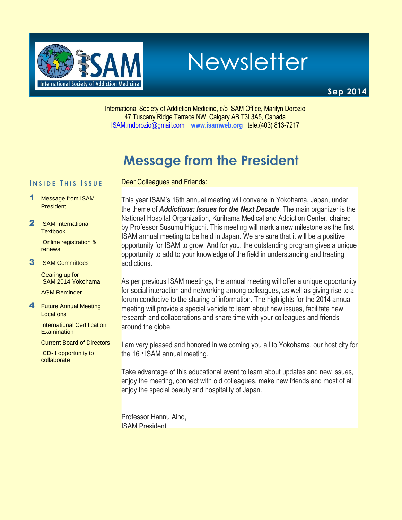

Newsletter

**Sep 2014**

International Society of Addiction Medicine, c/o ISAM Office, Marilyn Dorozio 47 Tuscany Ridge Terrace NW, Calgary AB T3L3A5, Canada [ISAM.mdorozio@gmail.com](mailto:office@isamweb.com/mdorozio@shaw.ca) **www.isamweb.org** tele.(403) 813-7217

# **Message from the President**

Dear Colleagues and Friends:

### **I N S I D E T H I S I S S U E**

- 1 Message from ISAM **President**
- 2 **ISAM International Textbook**

Online registration & renewal

**3** ISAM Committees

Gearing up for ISAM 2014 Yokohama

AGM Reminder

4 Future Annual Meeting **Locations** 

> International Certification **Examination**

Current Board of Directors

ICD-II opportunity to collaborate

This year ISAM's 16th annual meeting will convene in Yokohama, Japan, under the theme of *Addictions: Issues for the Next Decade*. The main organizer is the National Hospital Organization, Kurihama Medical and Addiction Center, chaired by Professor Susumu Higuchi. This meeting will mark a new milestone as the first ISAM annual meeting to be held in Japan. We are sure that it will be a positive opportunity for ISAM to grow. And for you, the outstanding program gives a unique opportunity to add to your knowledge of the field in understanding and treating addictions.

As per previous ISAM meetings, the annual meeting will offer a unique opportunity for social interaction and networking among colleagues, as well as giving rise to a forum conducive to the sharing of information. The highlights for the 2014 annual meeting will provide a special vehicle to learn about new issues, facilitate new research and collaborations and share time with your colleagues and friends around the globe.

I am very pleased and honored in welcoming you all to Yokohama, our host city for the 16th ISAM annual meeting.

Take advantage of this educational event to learn about updates and new issues, enjoy the meeting, connect with old colleagues, make new friends and most of all enjoy the special beauty and hospitality of Japan.

Professor Hannu Alho, ISAM President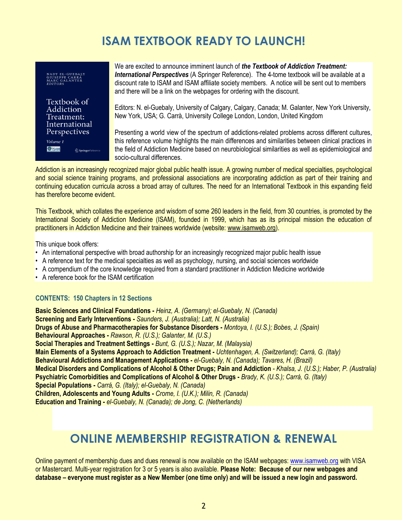## **ISAM TEXTBOOK READY TO LAUNCH!**

NADY EL-GUEBALY<br>GIUSEPPE CARRÁ<br>MARC GALANTER<br>*EDITORS* 

Textbook of Addiction Treatment: International Perspectives Volume 1 **O**TSAM SpringerReference

We are excited to announce imminent launch of *the Textbook of Addiction Treatment: International Perspectives* (A Springer Reference). The 4-tome textbook will be available at a discount rate to ISAM and ISAM affiliate society members. A notice will be sent out to members and there will be a link on the webpages for ordering with the discount.

Editors: N. el-Guebaly, University of Calgary, Calgary, Canada; M. Galanter, New York University, New York, USA; G. Carrà, University College London, London, United Kingdom

Presenting a world view of the spectrum of addictions-related problems across different cultures, this reference volume highlights the main differences and similarities between clinical practices in the field of Addiction Medicine based on neurobiological similarities as well as epidemiological and socio-cultural differences.

Addiction is an increasingly recognized major global public health issue. A growing number of medical specialties, psychological and social science training programs, and professional associations are incorporating addiction as part of their training and continuing education curricula across a broad array of cultures. The need for an International Textbook in this expanding field has therefore become evident.

This Textbook, which collates the experience and wisdom of some 260 leaders in the field, from 30 countries, is promoted by the International Society of Addiction Medicine (ISAM), founded in 1999, which has as its principal mission the education of practitioners in Addiction Medicine and their trainees worldwide (website: [www.isamweb.org\)](http://www.isamweb.org/).

This unique book offers:

- An international perspective with broad authorship for an increasingly recognized major public health issue
- A reference text for the medical specialties as well as psychology, nursing, and social sciences worldwide
- A compendium of the core knowledge required from a standard practitioner in Addiction Medicine worldwide
- A reference book for the ISAM certification

#### **CONTENTS: 150 Chapters in 12 Sections**

**Basic Sciences and Clinical Foundations -** *Heinz, A. (Germany); el-Guebaly, N. (Canada)* **Screening and Early Interventions -** *Saunders, J. (Australia); Latt, N. (Australia)* **Drugs of Abuse and Pharmacotherapies for Substance Disorders -** *Montoya, I. (U.S.); Bobes, J. (Spain)* **Behavioural Approaches -** *Rawson, R. (U.S.); Galanter, M. (U.S.)* **Social Therapies and Treatment Settings -** *Bunt, G. (U.S.); Nazar, M. (Malaysia)* **Main Elements of a Systems Approach to Addiction Treatment -** *Uchtenhagen, A. (Switzerland); Carrá, G. (Italy)* **Behavioural Addictions and Management Applications -** *el-Guebaly, N. (Canada); Tavares, H. (Brazil)* **Medical Disorders and Complications of Alcohol & Other Drugs; Pain and Addiction** *- Khalsa, J. (U.S.); Haber, P. (Australia)* **Psychiatric Comorbidities and Complications of Alcohol & Other Drugs -** *Brady, K. (U.S.); Carrá, G. (Italy)* **Special Populations -** *Carrá, G. (Italy); el-Guebaly, N. (Canada)* **Children, Adolescents and Young Adults -** *Crome, I. (U.K.); Milin, R. (Canada)* **Education and Training -** *el-Guebaly, N. (Canada); de Jong, C. (Netherlands)*

### **ONLINE MEMBERSHIP REGISTRATION & RENEWAL**

Online payment of membership dues and dues renewal is now available on the ISAM webpages: [www.isamweb.org](http://www.isamweb.org/) with VISA or Mastercard. Multi-year registration for 3 or 5 years is also available. **Please Note: Because of our new webpages and database – everyone must register as a New Member (one time only) and will be issued a new login and password.**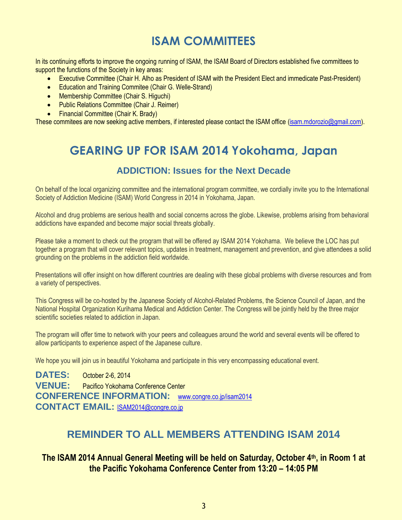## **ISAM COMMITTEES**

In its continuing efforts to improve the ongoing running of ISAM, the ISAM Board of Directors established five committees to support the functions of the Society in key areas:

- Executive Committee (Chair H. Alho as President of ISAM with the President Elect and immedicate Past-President)
- Education and Training Commitee (Chair G. Welle-Strand)
- Membership Committee (Chair S. Higuchi)
- Public Relations Committee (Chair J. Reimer)
- Financial Committee (Chair K. Brady)

These commitees are now seeking active members, if interested please contact the ISAM office [\(isam.mdorozio@gmail.com\)](mailto:isam.mdorozio@gmail.com).

### **GEARING UP FOR ISAM 2014 Yokohama, Japan**

### **ADDICTION: Issues for the Next Decade**

On behalf of the local organizing committee and the international program committee, we cordially invite you to the International Society of Addiction Medicine (ISAM) World Congress in 2014 in Yokohama, Japan.

Alcohol and drug problems are serious health and social concerns across the globe. Likewise, problems arising from behavioral addictions have expanded and become major social threats globally.

Please take a moment to check out the program that will be offered ay ISAM 2014 Yokohama. We believe the LOC has put together a program that will cover relevant topics, updates in treatment, management and prevention, and give attendees a solid grounding on the problems in the addiction field worldwide.

Presentations will offer insight on how different countries are dealing with these global problems with diverse resources and from a variety of perspectives.

This Congress will be co-hosted by the Japanese Society of Alcohol-Related Problems, the Science Council of Japan, and the National Hospital Organization Kurihama Medical and Addiction Center. The Congress will be jointly held by the three major scientific societies related to addiction in Japan.

The program will offer time to network with your peers and colleagues around the world and several events will be offered to allow participants to experience aspect of the Japanese culture.

We hope you will join us in beautiful Yokohama and participate in this very encompassing educational event.

**DATES:** October 2-6, 2014 **VENUE:** Pacifico Yokohama Conference Center **CONFERENCE INFORMATION:** [www.congre.co.jp/isam2014](http://www.congre.co.jp/isam2014) **CONTACT EMAIL:** [ISAM2014@congre.co.jp](mailto:ISAM2014@congre.co.jp)

### **REMINDER TO ALL MEMBERS ATTENDING ISAM 2014**

**The ISAM 2014 Annual General Meeting will be held on Saturday, October 4th, in Room 1 at the Pacific Yokohama Conference Center from 13:20 – 14:05 PM**